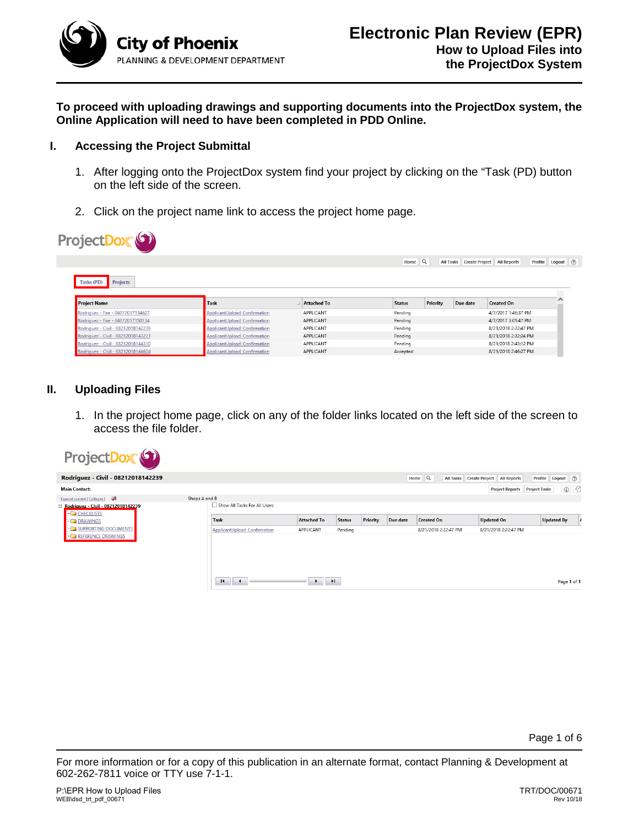

**To proceed with uploading drawings and supporting documents into the ProjectDox system, the Online Application will need to have been completed in PDD Online.**

## **I. Accessing the Project Submittal**

 $\sqrt{2}$ 

- 1. After logging onto the ProjectDox system find your project by clicking on the "Task (PD) button on the left side of the screen.
- 2. Click on the project name link to access the project home page.

| ProjectL                                                               |                                                              |                    |                    |          |                          |                      |                       |
|------------------------------------------------------------------------|--------------------------------------------------------------|--------------------|--------------------|----------|--------------------------|----------------------|-----------------------|
|                                                                        |                                                              |                    | Home               | ΙQ       | All Tasks Create Project | <b>All Reports</b>   | Logout (2)<br>Profile |
| Tasks (PD)<br><b>Projects</b>                                          |                                                              |                    |                    |          |                          |                      |                       |
| <b>Project Name</b>                                                    | <b>Task</b>                                                  | <b>Attached To</b> | <b>Status</b>      | Priority | Due date                 | <b>Created On</b>    |                       |
|                                                                        |                                                              | APPLICANT          |                    |          |                          | 4/7/2017 1:46:37 PM  |                       |
| Rodriguez - Fire - 04072017134627<br>Rodriguez - Fire - 04072017150134 | ApplicantUpload Confirmation<br>ApplicantUpload Confirmation | APPLICANT          | Pending<br>Pending |          |                          | 4/7/2017 3:01:47 PM  |                       |
| Rodriguez - Civil - 08212018142239                                     | ApplicantUpload Confirmation                                 | APPLICANT          | Pending            |          |                          | 8/21/2018 2:22:47 PM |                       |
| Rodriguez - Civil - 08212018143221                                     | <b>ApplicantUpload Confirmation</b>                          | APPLICANT          | Pending            |          |                          | 8/21/2018 2:32:24 PM |                       |
| Rodriguez - Civil - 08212018144310                                     | ApplicantUpload Confirmation                                 | APPLICANT          | Pending            |          |                          | 8/21/2018 2:43:12 PM |                       |

## **II. Uploading Files**

 $\sim$ 

1. In the project home page, click on any of the folder links located on the left side of the screen to access the file folder.



Page 1 of 6

For more information or for a copy of this publication in an alternate format, contact Planning & Development at 602-262-7811 voice or TTY use 7-1-1.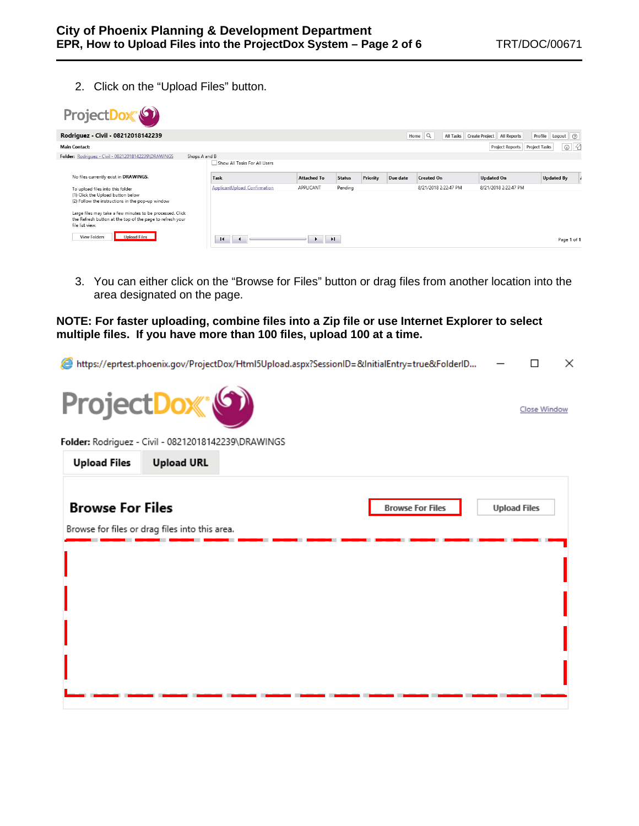Close Window

2. Click on the "Upload Files" button.

| ProjectDox <sup>®</sup>                                                                                                                                                                                                                                                |                              |                    |               |          |          |                      |                                      |                                   |
|------------------------------------------------------------------------------------------------------------------------------------------------------------------------------------------------------------------------------------------------------------------------|------------------------------|--------------------|---------------|----------|----------|----------------------|--------------------------------------|-----------------------------------|
| Rodriguez - Civil - 08212018142239                                                                                                                                                                                                                                     |                              |                    |               |          |          | Home $\mathbb{Q}$    | All Tasks Create Project All Reports | Logout (?)<br>Profile             |
| <b>Main Contact:</b>                                                                                                                                                                                                                                                   |                              |                    |               |          |          |                      | <b>Project Reports</b>               | $\circ$ 2<br><b>Project Tasks</b> |
| Folder: Rodriguez - Civil - 08212018142239\DRAWINGS<br>Shops A and B                                                                                                                                                                                                   | Show All Tasks For All Users |                    |               |          |          |                      |                                      |                                   |
| No files currently exist in DRAWINGS.                                                                                                                                                                                                                                  | Task                         | <b>Attached To</b> | <b>Status</b> | Priority | Due date | <b>Created On</b>    | <b>Updated On</b>                    | <b>Updated By</b>                 |
| To upload files into this folder<br>(1) Click the Upload button below<br>(2) Follow the instructions in the pop-up window<br>Large files may take a few minutes to be processed. Click<br>the Refresh button at the top of the page to refresh your<br>file list view. | ApplicantUpload Confirmation | APPLICANT          | Pending       |          |          | 8/21/2018 2:22:47 PM | 8/21/2018 2:22:47 PM                 |                                   |
| <b>Upload Files</b><br><b>View Folders</b>                                                                                                                                                                                                                             | $\blacksquare$               | H.                 |               |          |          |                      |                                      | Page 1 of 1                       |

3. You can either click on the "Browse for Files" button or drag files from another location into the area designated on the page.

**NOTE: For faster uploading, combine files into a Zip file or use Internet Explorer to select multiple files. If you have more than 100 files, upload 100 at a time.**

https://eprtest.phoenix.gov/ProjectDox/Html5Upload.aspx?SessionID=&InitialEntry=true&FolderID...  $\Box$  $\times$ 



Folder: Rodriguez - Civil - 08212018142239\DRAWINGS

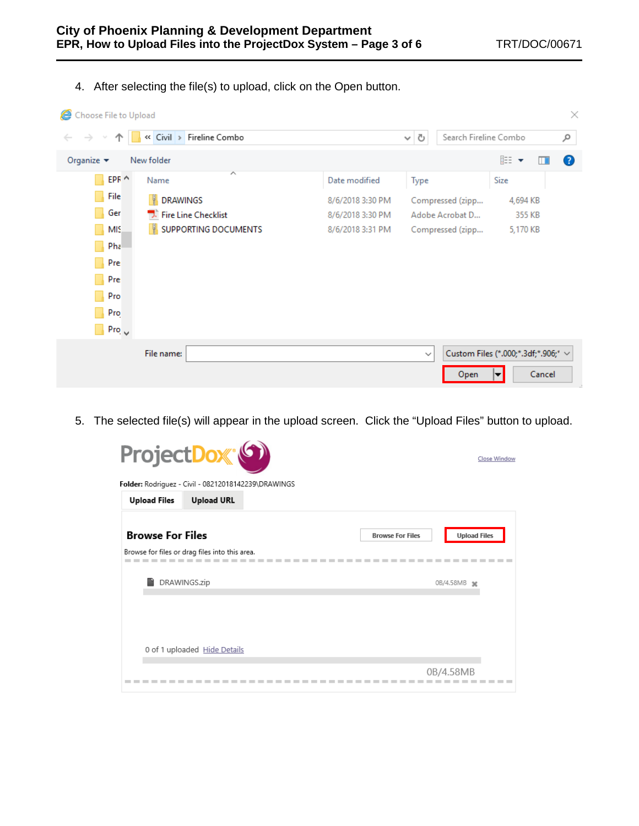4. After selecting the file(s) to upload, click on the Open button.

| Choose File to Upload<br>×     |                               |                  |                                            |                                     |  |  |  |
|--------------------------------|-------------------------------|------------------|--------------------------------------------|-------------------------------------|--|--|--|
| $\rightarrow$                  | « Civil > Fireline Combo      |                  | Search Fireline Combo<br>Ō<br>$\checkmark$ | مر                                  |  |  |  |
| Organize $\blacktriangleright$ | New folder                    |                  |                                            | 距→<br>2<br>m                        |  |  |  |
| $EPF \wedge$                   | ᄉ<br>Name                     | Date modified    | Type                                       | Size                                |  |  |  |
| File                           | N.<br><b>DRAWINGS</b>         | 8/6/2018 3:30 PM | Compressed (zipp                           | 4,694 KB                            |  |  |  |
| Ger                            | <b>T.</b> Fire Line Checklist | 8/6/2018 3:30 PM | Adobe Acrobat D                            | 355 KB                              |  |  |  |
| MIS                            | N.<br>SUPPORTING DOCUMENTS    | 8/6/2018 3:31 PM | Compressed (zipp                           | 5,170 KB                            |  |  |  |
| Pha                            |                               |                  |                                            |                                     |  |  |  |
| Pre                            |                               |                  |                                            |                                     |  |  |  |
| Pre                            |                               |                  |                                            |                                     |  |  |  |
| Pro                            |                               |                  |                                            |                                     |  |  |  |
| Pro                            |                               |                  |                                            |                                     |  |  |  |
| $Pro_{\sqrt{2}}$               |                               |                  |                                            |                                     |  |  |  |
|                                | File name:                    |                  | $\checkmark$                               | Custom Files (*.000;*.3df;*.906;* ~ |  |  |  |
|                                |                               |                  | Open                                       | Cancel<br>▼                         |  |  |  |

5. The selected file(s) will appear in the upload screen. Click the "Upload Files" button to upload.

|                         | ProjectDox <sup>(6)</sup>                           | Close Window                                   |
|-------------------------|-----------------------------------------------------|------------------------------------------------|
|                         | Folder: Rodriguez - Civil - 08212018142239\DRAWINGS |                                                |
| <b>Upload Files</b>     | <b>Upload URL</b>                                   |                                                |
| <b>Browse For Files</b> |                                                     | <b>Upload Files</b><br><b>Browse For Files</b> |
|                         | Browse for files or drag files into this area.      |                                                |
|                         | DRAWINGS.zip                                        | 0B/4.58MB *                                    |
|                         |                                                     |                                                |
|                         |                                                     |                                                |
|                         | 0 of 1 uploaded Hide Details                        |                                                |
|                         |                                                     | 0B/4.58MB                                      |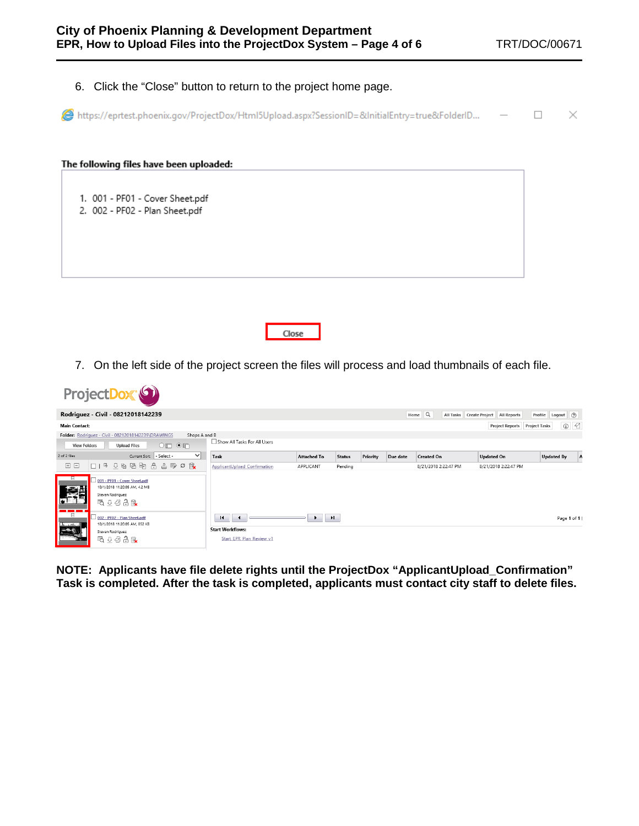| Click the "Close" button to return to the project home page.<br>6.                             |    |
|------------------------------------------------------------------------------------------------|----|
| Ahttps://eprtest.phoenix.gov/ProjectDox/Html5Upload.aspx?SessionID=&InitialEntry=true&FolderID | ×. |
| The following files have been uploaded:                                                        |    |
| 1. 001 - PF01 - Cover Sheet.pdf<br>2. 002 - PF02 - Plan Sheet.pdf                              |    |
| Close                                                                                          |    |

7. On the left side of the project screen the files will process and load thumbnails of each file.

|                      | ProjectDox (9)                                                                                        |                                                      |                                                                                        |                    |               |          |          |                                               |                                         |                        |
|----------------------|-------------------------------------------------------------------------------------------------------|------------------------------------------------------|----------------------------------------------------------------------------------------|--------------------|---------------|----------|----------|-----------------------------------------------|-----------------------------------------|------------------------|
|                      | Rodriguez - Civil - 08212018142239                                                                    |                                                      |                                                                                        |                    |               |          |          | Home $\mathbb{Q}$<br>All Tasks Create Project | <b>All Reports</b>                      | Profile Logout ②       |
| <b>Main Contact:</b> |                                                                                                       |                                                      |                                                                                        |                    |               |          |          |                                               | Project Reports<br><b>Project Tasks</b> | $\circ$ $\circ$        |
| <b>View Folders</b>  | Folder: Rodriguez - Civil - 08212018142239\DRAWINGS<br><b>Upload Files</b>                            | Shops A and B<br>$\circ \mathbb{m} \circ \mathbb{m}$ | Show All Tasks For All Users                                                           |                    |               |          |          |                                               |                                         |                        |
| 2 of 2 files         |                                                                                                       | $\checkmark$<br>Current Sort: - Select -             | Task                                                                                   | <b>Attached To</b> | <b>Status</b> | Priority | Due date | <b>Created On</b>                             | <b>Updated On</b>                       | <b>Updated By</b><br>A |
| 国日                   | □15 44 临阳                                                                                             | $\triangle$<br>出野の職                                  | ApplicantUpload Confirmation                                                           | APPLICANT          | Pending       |          |          | 8/21/2018 2:22:47 PM                          | 8/21/2018 2:22:47 PM                    |                        |
| Ε<br>魔兽              | 001 - PF01 - Cover Sheet.pdf<br>10/1/2018 11:20:05 AM, 4.2 MB<br>Steven Rodriguez<br>48 ↓ 夕月 6        |                                                      |                                                                                        |                    |               |          |          |                                               |                                         |                        |
| $ \frac{1}{2}$       | 002 - PF02 - Plan Sheet.pdf<br>10/1/2018 11:20:05 AM, 852 KB<br>Steven Rodriguez<br><b>吸 4 夕 合 mk</b> |                                                      | $\blacksquare$<br>$\rightarrow$<br><b>Start Workflows:</b><br>Start EPR Plan Review v1 | $\rightarrow$      | H             |          |          |                                               |                                         | Page 1 of 1 (          |

**NOTE: Applicants have file delete rights until the ProjectDox "ApplicantUpload\_Confirmation" Task is completed. After the task is completed, applicants must contact city staff to delete files.**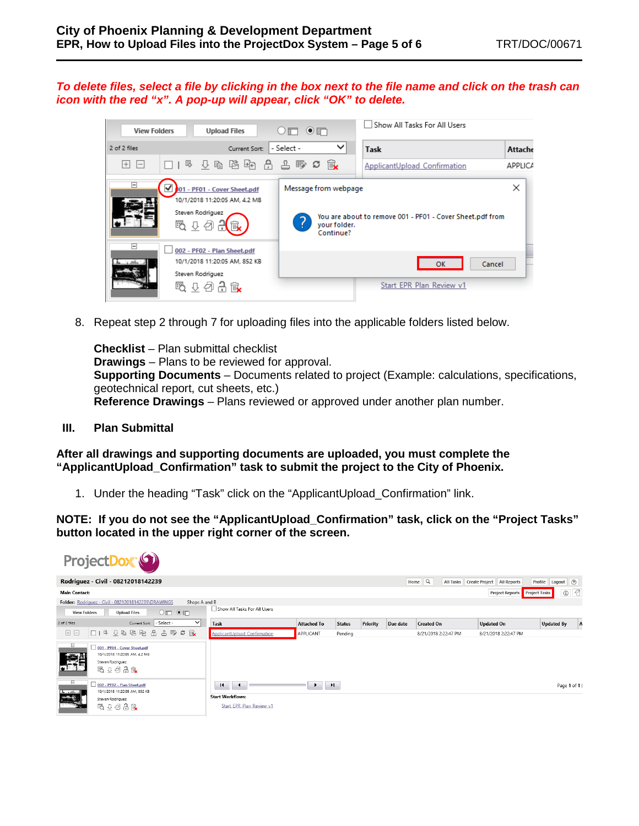*To delete files, select a file by clicking in the box next to the file name and click on the trash can icon with the red "x". A pop-up will appear, click "OK" to delete.*



8. Repeat step 2 through 7 for uploading files into the applicable folders listed below.

**Checklist** – Plan submittal checklist **Drawings** – Plans to be reviewed for approval. **Supporting Documents** – Documents related to project (Example: calculations, specifications, geotechnical report, cut sheets, etc.) **Reference Drawings** – Plans reviewed or approved under another plan number.

**III. Plan Submittal**

**After all drawings and supporting documents are uploaded, you must complete the "ApplicantUpload\_Confirmation" task to submit the project to the City of Phoenix.**

1. Under the heading "Task" click on the "ApplicantUpload\_Confirmation" link.

**NOTE: If you do not see the "ApplicantUpload\_Confirmation" task, click on the "Project Tasks" button located in the upper right corner of the screen.**